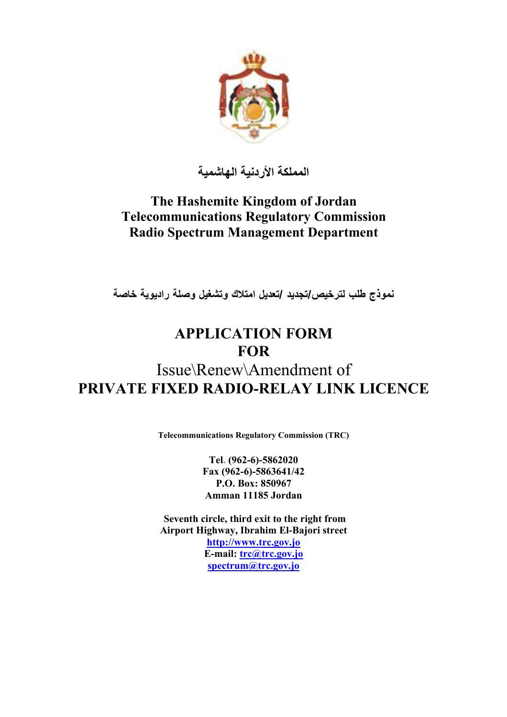

**المملكة الأردنية الهاشمية**

# **The Hashemite Kingdom of Jordan Telecommunications Regulatory Commission Radio Spectrum Management Department**

**ترخيصلنموذج طلب /تجديد /تعديل امتلاك وتشغيل وصلة راديوية خاصة**

# **APPLICATION FORM FOR**

# Issue\Renew\Amendment of **PRIVATE FIXED RADIO-RELAY LINK LICENCE**

**Telecommunications Regulatory Commission (TRC)** 

**Tel. (962-6)-5862020 Fax (962-6)-5863641/42 P.O. Box: 850967 Amman 11185 Jordan** 

 **Seventh circle, third exit to the right from Airport Highway, Ibrahim El-Bajori street http://www.trc.gov.jo E-mail: trc@trc.gov.jo spectrum@trc.gov.jo**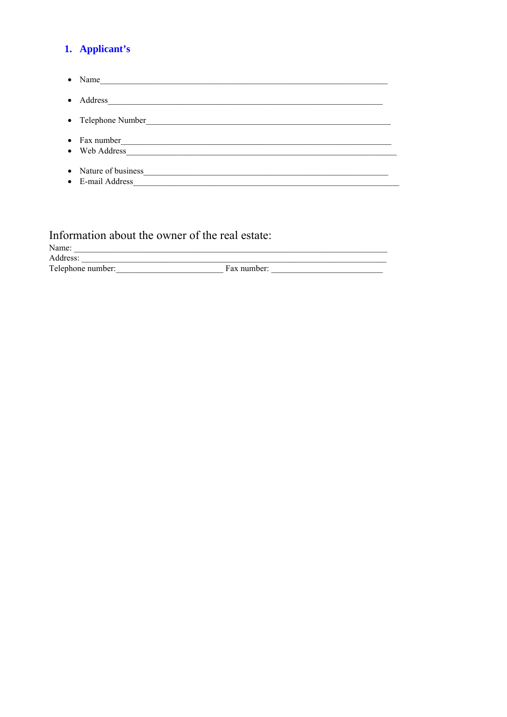### 1. Applicant's

 $\bullet$  Name • Address • Telephone Number • Fax number • Nature of business 2000 and 2000 and 2000 and 2000 and 2000 and 2000 and 2000 and 2000 and 2000 and 2000 and 2000 and 2000 and 2000 and 2000 and 2000 and 2000 and 2000 and 2000 and 2000 and 2000 and 2000 and 2000 and 200 • E-mail Address **E-mail Address** 

### Information about the owner of the real estate:

Name:

Address:

Address: <u>Telephone number:</u> Fax number: Fax number: Telephone number: Telephone number: Telephone number: Telephone number: Telephone number: Telephone number: Telephone number: Telephone number: Telephone number: Telepho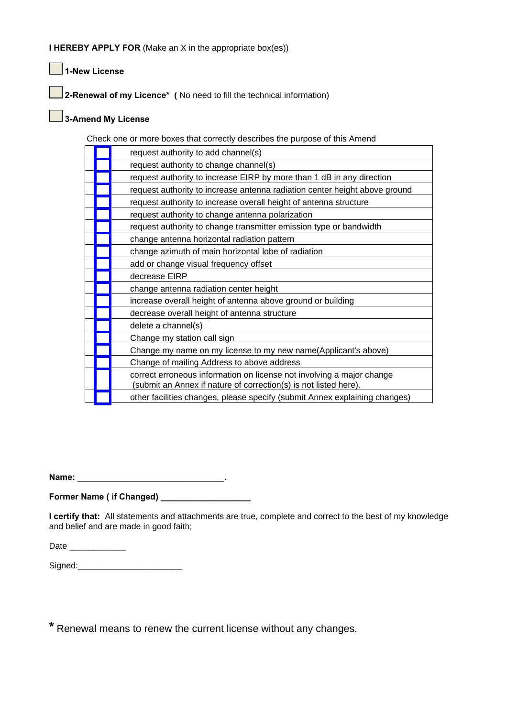**I HEREBY APPLY FOR** (Make an X in the appropriate box(es))

 **1-New License** 

 **2-Renewal of my Licence\* (** No need to fill the technical information)

### **3-Amend My License**

Check one or more boxes that correctly describes the purpose of this Amend

|  | request authority to add channel(s)                                                                                                       |
|--|-------------------------------------------------------------------------------------------------------------------------------------------|
|  | request authority to change channel(s)                                                                                                    |
|  | request authority to increase EIRP by more than 1 dB in any direction                                                                     |
|  | request authority to increase antenna radiation center height above ground                                                                |
|  | request authority to increase overall height of antenna structure                                                                         |
|  | request authority to change antenna polarization                                                                                          |
|  | request authority to change transmitter emission type or bandwidth                                                                        |
|  | change antenna horizontal radiation pattern                                                                                               |
|  | change azimuth of main horizontal lobe of radiation                                                                                       |
|  | add or change visual frequency offset                                                                                                     |
|  | decrease EIRP                                                                                                                             |
|  | change antenna radiation center height                                                                                                    |
|  | increase overall height of antenna above ground or building                                                                               |
|  | decrease overall height of antenna structure                                                                                              |
|  | delete a channel(s)                                                                                                                       |
|  | Change my station call sign                                                                                                               |
|  | Change my name on my license to my new name(Applicant's above)                                                                            |
|  | Change of mailing Address to above address                                                                                                |
|  | correct erroneous information on license not involving a major change<br>(submit an Annex if nature of correction(s) is not listed here). |
|  | other facilities changes, please specify (submit Annex explaining changes)                                                                |

**Name: \_\_\_\_\_\_\_\_\_\_\_\_\_\_\_\_\_\_\_\_\_\_\_\_\_\_\_\_\_\_\_.** 

**Former Name ( if Changed) \_\_\_\_\_\_\_\_\_\_\_\_\_\_\_\_\_\_\_** 

**I certify that:** All statements and attachments are true, complete and correct to the best of my knowledge and belief and are made in good faith;

Date \_\_\_\_\_\_\_\_\_\_\_\_\_\_\_

Signed:

**\*** Renewal means to renew the current license without any changes.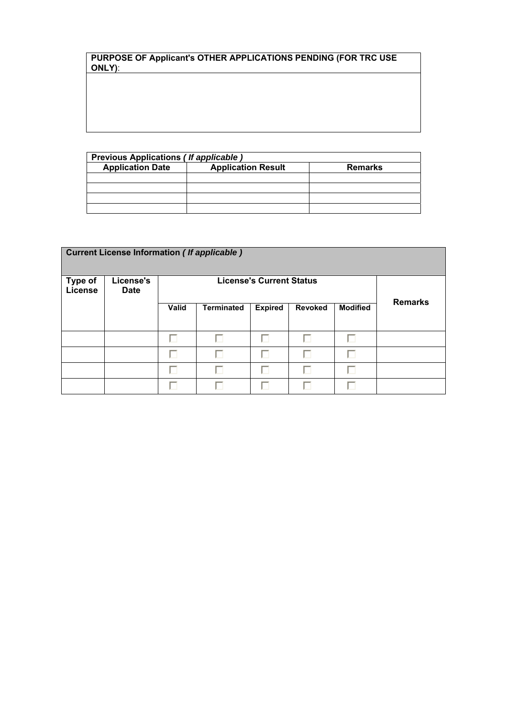**PURPOSE OF Applicant's OTHER APPLICATIONS PENDING (FOR TRC USE ONLY)**:

| Previous Applications (If applicable)                                  |  |  |  |  |  |
|------------------------------------------------------------------------|--|--|--|--|--|
| <b>Application Date</b><br><b>Application Result</b><br><b>Remarks</b> |  |  |  |  |  |
|                                                                        |  |  |  |  |  |
|                                                                        |  |  |  |  |  |
|                                                                        |  |  |  |  |  |
|                                                                        |  |  |  |  |  |

| <b>Current License Information (If applicable)</b> |                          |       |                                                                          |                |   |                                |  |  |  |
|----------------------------------------------------|--------------------------|-------|--------------------------------------------------------------------------|----------------|---|--------------------------------|--|--|--|
| <b>Type of</b><br><b>License</b>                   | License's<br><b>Date</b> |       | <b>License's Current Status</b>                                          | <b>Remarks</b> |   |                                |  |  |  |
|                                                    |                          | Valid | <b>Expired</b><br><b>Revoked</b><br><b>Modified</b><br><b>Terminated</b> |                |   |                                |  |  |  |
|                                                    |                          | п     | п                                                                        | г              | г | п                              |  |  |  |
|                                                    |                          | ш     |                                                                          |                | U | г                              |  |  |  |
|                                                    |                          |       | П                                                                        | П              | п | П                              |  |  |  |
|                                                    |                          |       | U                                                                        |                |   | $\overline{\phantom{a}}$<br>ı. |  |  |  |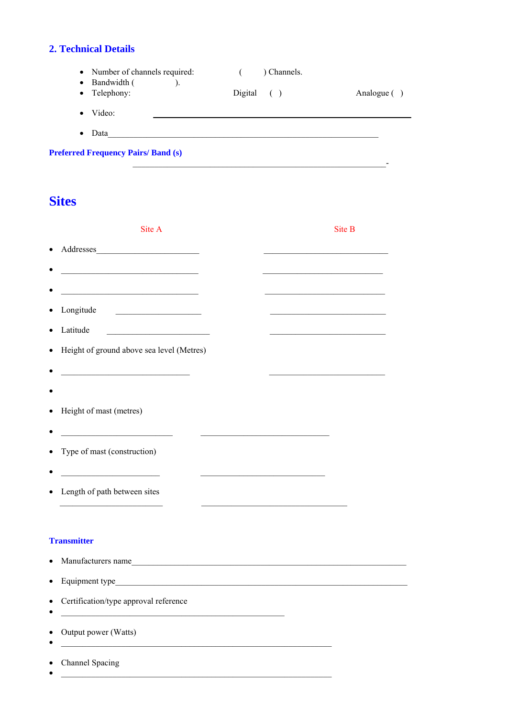### **2. Technical Details**

- Number of channels required: Channels.  $\overline{a}$
- $\bullet$  Bandwidth (  $\qquad \qquad$  ).
- Telephony: Digital  $( )$ Analogue ()

<u> 1989 - Johann Barbara, martxa alemaniar eta politika</u>

- Video: <u>and the state of the state of the state of the state of the state of the state of the state of the state of the state of the state of the state of the state of the state of the state of the state of the state of the state</u>
- $\bullet$  Data

| <b>Preferred Frequency Pairs/Band (s)</b> |  |  |  |
|-------------------------------------------|--|--|--|
|-------------------------------------------|--|--|--|

# **Sites**

| Site A                                                                                                                                  | Site B                                                                                                               |
|-----------------------------------------------------------------------------------------------------------------------------------------|----------------------------------------------------------------------------------------------------------------------|
|                                                                                                                                         |                                                                                                                      |
| <u> 1989 - Johann Harry Harry Harry Harry Harry Harry Harry Harry Harry Harry Harry Harry Harry Harry Harry Harry</u>                   | the control of the control of the control of the control of the control of                                           |
| <u> 1989 - Johann Barbara, martxa alemaniar amerikan personal (h. 1989).</u>                                                            | the control of the control of the control of the control of the control of the control of                            |
| Longitude                                                                                                                               | the control of the control of the control of the control of the control of                                           |
| Latitude<br><u> 1989 - Johann Barn, mars eta bainar eta industrial eta erromania eta erromania eta erromania eta erromania e</u>        | <u> 1989 - Johann John Stone, mars eta bainar eta bainar eta baina eta baina eta baina eta baina eta baina eta b</u> |
| Height of ground above sea level (Metres)                                                                                               |                                                                                                                      |
| <u> 1989 - Johann Barbara, martin amerikan ba</u>                                                                                       |                                                                                                                      |
| Height of mast (metres)                                                                                                                 |                                                                                                                      |
| Type of mast (construction)                                                                                                             |                                                                                                                      |
| Length of path between sites                                                                                                            | the control of the control of the control of the control of the control of the control of                            |
| <b>Transmitter</b>                                                                                                                      |                                                                                                                      |
|                                                                                                                                         |                                                                                                                      |
| Equipment type<br><u> 1989 - Johann Stoff, deutscher Stoff, der Stoff, der Stoff, der Stoff, der Stoff, der Stoff, der Stoff, der S</u> |                                                                                                                      |

• Certification/type approval reference

<u> 1989 - Johann Harry Harry Harry Harry Harry Harry Harry Harry Harry Harry Harry Harry Harry Harry Harry Harry H</u>

- Output power (Watts)
- 

 $\bullet$ 

- Channel Spacing
- $\bullet$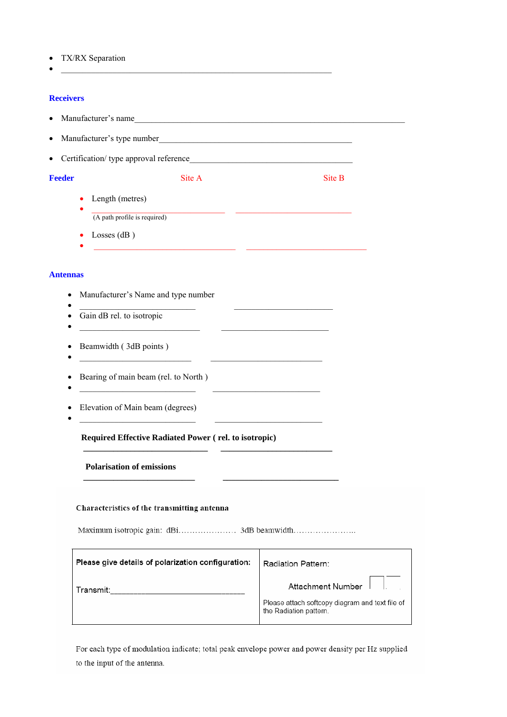• TX/RX Separation

### **Receivers**

- Manufacturer's name
- Manufacturer's type number

•  $\frac{1}{2}$ 

• \_\_\_\_\_\_\_\_\_\_\_\_\_\_\_\_\_\_\_\_\_\_\_\_\_\_\_\_\_\_\_\_\_ \_\_\_\_\_\_\_\_\_\_\_\_\_\_\_\_\_\_\_\_\_\_\_\_\_\_\_\_

• Certification/ type approval reference

**Feeder** Site A Site B

- Length (metres)
- $\frac{1}{2}$  (A path profile is required)
- Losses (dB)

### Ant

| Manufacturer's Name and type number                                                                                                                 |                                                                             |
|-----------------------------------------------------------------------------------------------------------------------------------------------------|-----------------------------------------------------------------------------|
| Gain dB rel. to isotropic<br><u> 1989 - Johann John Stone, mars et al. 1989 - John Stone, mars et al. 1989 - John Stone, mars et al. 1989 - Joh</u> |                                                                             |
| Beamwidth (3dB points)<br><u> 1989 - Johann John Stein, mars an deus Amerikaansk kommunister (</u>                                                  |                                                                             |
| Bearing of main beam (rel. to North)                                                                                                                | <u> 1989 - Andrea Albert III, martin a bhaile an t-</u>                     |
| Elevation of Main beam (degrees)                                                                                                                    | <u> 1944 - Johann John Harrison, martin al-A</u>                            |
| <b>Required Effective Radiated Power (rel. to isotropic)</b>                                                                                        |                                                                             |
| <b>Polarisation of emissions</b>                                                                                                                    |                                                                             |
| Characteristics of the transmitting antenna                                                                                                         |                                                                             |
|                                                                                                                                                     |                                                                             |
| Please give details of polarization configuration:                                                                                                  | Radiation Pattern:                                                          |
| Transmit: Transmit: Transmit: Transmit: Transmit: Transmit: Transmit: Transmit: Transmit: Transmit: Transmit: T                                     | <b>Attachment Number</b><br>Please attach softcopy diagram and text file of |

For each type of modulation indicate; total peak envelope power and power density per Hz supplied to the input of the antenna.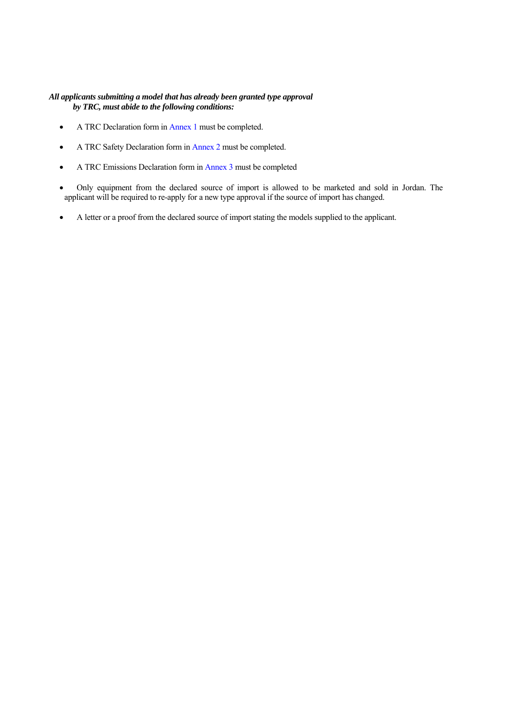### *All applicants submitting a model that has already been granted type approval by TRC, must abide to the following conditions:*

- A TRC Declaration form in Annex 1 must be completed.
- A TRC Safety Declaration form in Annex 2 must be completed.
- A TRC Emissions Declaration form in Annex 3 must be completed
- Only equipment from the declared source of import is allowed to be marketed and sold in Jordan. The applicant will be required to re-apply for a new type approval if the source of import has changed.
- A letter or a proof from the declared source of import stating the models supplied to the applicant.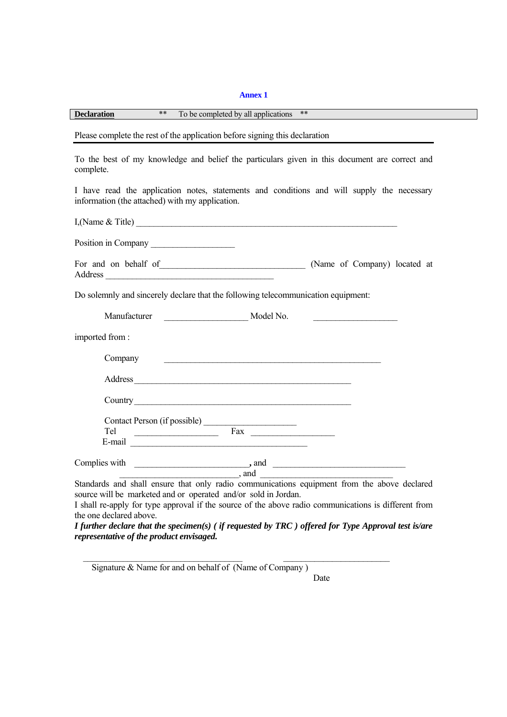### **Annex 1**

**Declaration** \*\* To be completed by all applications \*\*

Please complete the rest of the application before signing this declaration

To the best of my knowledge and belief the particulars given in this document are correct and complete.

I have read the application notes, statements and conditions and will supply the necessary information (the attached) with my application.

I,(Name & Title) \_\_\_\_\_\_\_\_\_\_\_\_\_\_\_\_\_\_\_\_\_\_\_\_\_\_\_\_\_\_\_\_\_\_\_\_\_\_\_\_\_\_\_\_\_\_\_\_\_\_\_\_\_\_\_\_\_\_\_

Position in Company

| For and on behalf of |  |  |  | (Name of Company) located at |  |
|----------------------|--|--|--|------------------------------|--|
| Address              |  |  |  |                              |  |

Do solemnly and sincerely declare that the following telecommunication equipment:

| Manufacturer   | Model No.                                                                                                                                                                                                                     |  |
|----------------|-------------------------------------------------------------------------------------------------------------------------------------------------------------------------------------------------------------------------------|--|
| imported from: |                                                                                                                                                                                                                               |  |
| Company        | <u> 1990 - Jan James James Jan James James Jan James James James James James James James James James James James</u>                                                                                                          |  |
| Address        | the control of the control of the control of the control of the control of the control of the control of the control of the control of the control of the control of the control of the control of the control of the control |  |
| Country        |                                                                                                                                                                                                                               |  |
|                | Contact Person (if possible)                                                                                                                                                                                                  |  |
|                | Fax                                                                                                                                                                                                                           |  |
| E-mail         |                                                                                                                                                                                                                               |  |
|                | Complies with $\qquad \qquad$ and $\qquad \qquad$                                                                                                                                                                             |  |
|                |                                                                                                                                                                                                                               |  |
|                | Standards and shall ensure that only radio communications equipment from the above declared                                                                                                                                   |  |

source will be marketed and or operated and/or sold in Jordan. I shall re-apply for type approval if the source of the above radio communications is different from

the one declared above. *I further declare that the specimen(s) ( if requested by TRC ) offered for Type Approval test is/are representative of the product envisaged.* 

\_\_\_\_\_\_\_\_\_\_\_\_\_\_\_\_\_\_\_\_\_\_\_\_\_\_\_\_\_\_\_\_\_\_\_\_ \_\_\_\_\_\_\_\_\_\_\_\_\_\_\_\_\_\_\_\_\_\_\_\_

Signature & Name for and on behalf of (Name of Company )

Date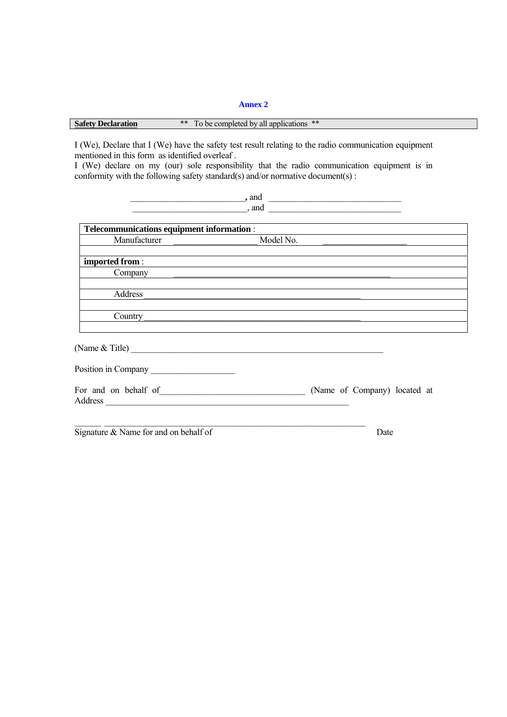### **Annex 2**

### **Safety Declaration** \*\* To be completed by all applications \*\*

I (We), Declare that I (We) have the safety test result relating to the radio communication equipment mentioned in this form as identified overleaf .

I (We) declare on my (our) sole responsibility that the radio communication equipment is in conformity with the following safety standard(s) and/or normative document(s) :

 $\bullet$ , and  $\qquad \qquad$ \_\_\_\_\_\_\_\_\_\_\_\_\_\_\_\_\_\_\_\_\_\_\_\_\_\_, and \_\_\_\_\_\_\_\_\_\_\_\_\_\_\_\_\_\_\_\_\_\_\_\_\_\_\_\_\_\_

| Telecommunications equipment information : |                              |
|--------------------------------------------|------------------------------|
| Manufacturer                               | Model No.                    |
|                                            |                              |
| imported from:                             |                              |
| Company                                    |                              |
|                                            |                              |
| Address                                    |                              |
|                                            |                              |
| Country                                    |                              |
|                                            |                              |
|                                            |                              |
| Position in Company                        |                              |
| For and on behalf of                       | (Name of Company) located at |
|                                            |                              |
|                                            |                              |
| Signature & Name for and on behalf of      | Date                         |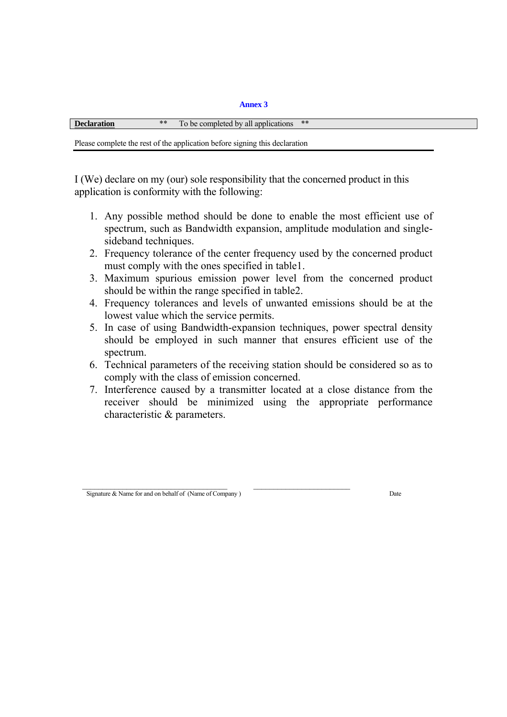**Annex 3** 

| $***$ | $\mathbf{r}$<br>applications<br>completed<br>be<br>all<br>าง | $***$ |
|-------|--------------------------------------------------------------|-------|
|       |                                                              |       |

Please complete the rest of the application before signing this declaration

I (We) declare on my (our) sole responsibility that the concerned product in this application is conformity with the following:

- 1. Any possible method should be done to enable the most efficient use of spectrum, such as Bandwidth expansion, amplitude modulation and singlesideband techniques.
- 2. Frequency tolerance of the center frequency used by the concerned product must comply with the ones specified in table1.
- 3. Maximum spurious emission power level from the concerned product should be within the range specified in table2.
- 4. Frequency tolerances and levels of unwanted emissions should be at the lowest value which the service permits.
- 5. In case of using Bandwidth-expansion techniques, power spectral density should be employed in such manner that ensures efficient use of the spectrum.
- 6. Technical parameters of the receiving station should be considered so as to comply with the class of emission concerned.
- 7. Interference caused by a transmitter located at a close distance from the receiver should be minimized using the appropriate performance characteristic & parameters.

 $\mathcal{L}_\text{max}$  , and the set of the set of the set of the set of the set of the set of the set of the set of the set of the set of the set of the set of the set of the set of the set of the set of the set of the set of the Signature & Name for and on behalf of (Name of Company) Date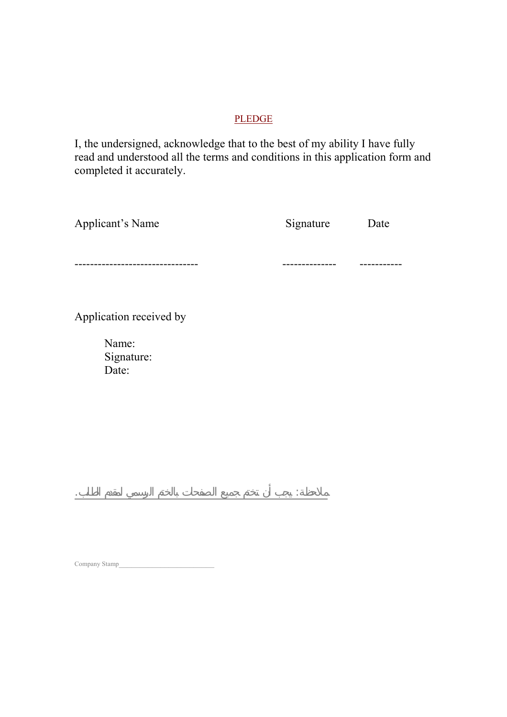## PLEDGE

I, the undersigned, acknowledge that to the best of my ability I have fully read and understood all the terms and conditions in this application form and completed it accurately.

| <b>Applicant's Name</b>      | Signature | Date |
|------------------------------|-----------|------|
|                              |           |      |
| Application received by      |           |      |
| Name:<br>Signature:<br>Date: |           |      |
|                              |           |      |

Company Stamp\_\_\_\_\_\_\_\_\_\_\_\_\_\_\_\_\_\_\_\_\_\_\_

ملاحظة: يجب أن تختم جميع الصفحات بالختم الرسمي لمقدم الطلب.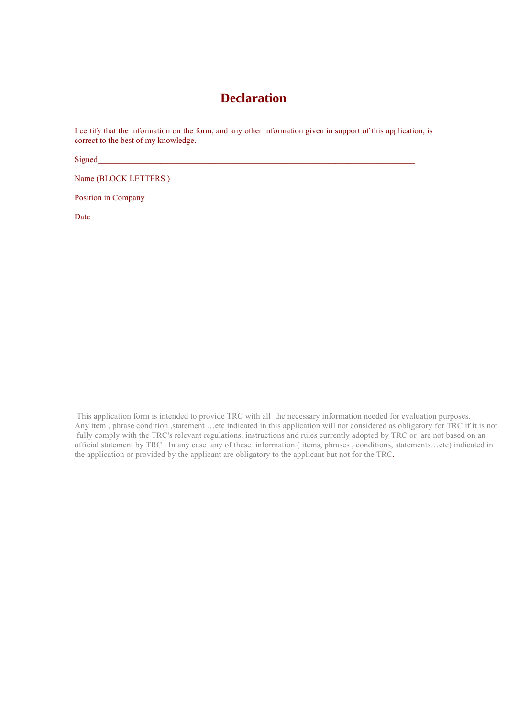## **Declaration**

I certify that the information on the form, and any other information given in support of this application, is correct to the best of my knowledge.

Signed

Name (BLOCK LETTERS )\_\_\_\_\_\_\_\_\_\_\_\_\_\_\_\_\_\_\_\_\_\_\_\_\_\_\_\_\_\_\_\_\_\_\_\_\_\_\_\_\_\_\_\_\_\_\_\_\_\_\_\_\_\_\_\_\_\_\_

Position in Company

Date\_\_\_\_\_\_\_\_\_\_\_\_\_\_\_\_\_\_\_\_\_\_\_\_\_\_\_\_\_\_\_\_\_\_\_\_\_\_\_\_\_\_\_\_\_\_\_\_\_\_\_\_\_\_\_\_\_\_\_\_\_\_\_\_\_\_\_\_\_\_\_\_\_\_\_\_\_\_\_\_

 This application form is intended to provide TRC with all the necessary information needed for evaluation purposes. Any item, phrase condition ,statement …etc indicated in this application will not considered as obligatory for TRC if it is not fully comply with the TRC's relevant regulations, instructions and rules currently adopted by TRC or are not based on an official statement by TRC . In any case any of these information ( items, phrases , conditions, statements…etc) indicated in the application or provided by the applicant are obligatory to the applicant but not for the TRC.